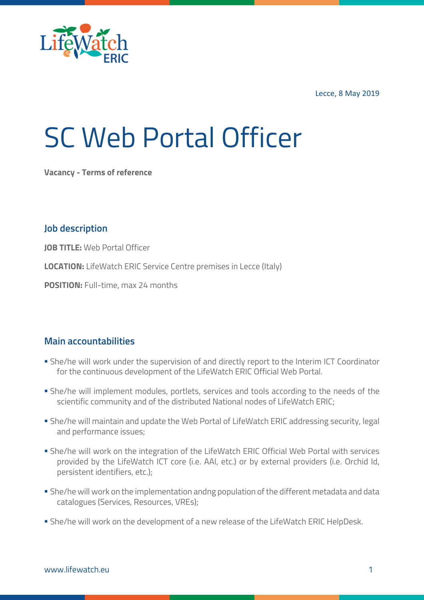

Lecce, 8 May 2019

# SC Web Portal Officer

**Vacancy - Terms of reference**

### **Job description**

**JOB TITLE:** Web Portal Officer

**LOCATION:** LifeWatch ERIC Service Centre premises in Lecce (Italy)

**POSITION:** Full-time, max 24 months

### **Main accountabilities**

- § She/he will work under the supervision of and directly report to the Interim ICT Coordinator for the continuous development of the LifeWatch ERIC Official Web Portal.
- § She/he will implement modules, portlets, services and tools according to the needs of the scientific community and of the distributed National nodes of LifeWatch ERIC;
- § She/he will maintain and update the Web Portal of LifeWatch ERIC addressing security, legal and performance issues;
- § She/he will work on the integration of the LifeWatch ERIC Official Web Portal with services provided by the LifeWatch ICT core (i.e. AAI, etc.) or by external providers (i.e. Orchid Id, persistent identifiers, etc.);
- § She/he will work on the implementation andng population of the different metadata and data catalogues (Services, Resources, VREs);
- § She/he will work on the development of a new release of the LifeWatch ERIC HelpDesk.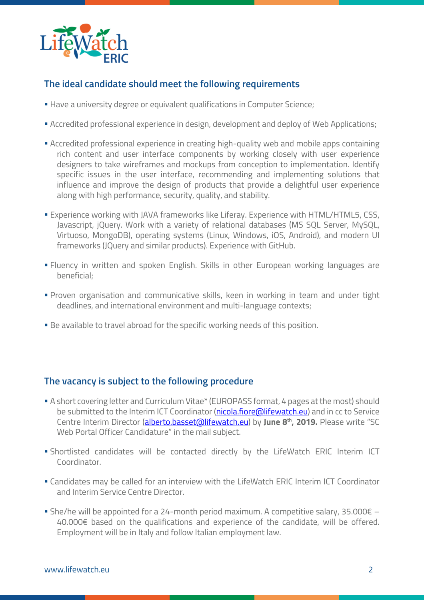

## **The ideal candidate should meet the following requirements**

- Have a university degree or equivalent qualifications in Computer Science;
- § Accredited professional experience in design, development and deploy of Web Applications;
- § Accredited professional experience in creating high-quality web and mobile apps containing rich content and user interface components by working closely with user experience designers to take wireframes and mockups from conception to implementation. Identify specific issues in the user interface, recommending and implementing solutions that influence and improve the design of products that provide a delightful user experience along with high performance, security, quality, and stability.
- **Experience working with JAVA frameworks like Liferay. Experience with HTML/HTML5, CSS,** Javascript, jQuery. Work with a variety of relational databases (MS SQL Server, MySQL, Virtuoso, MongoDB), operating systems (Linux, Windows, iOS, Android), and modern UI frameworks (JQuery and similar products). Experience with GitHub.
- § Fluency in written and spoken English. Skills in other European working languages are beneficial;
- § Proven organisation and communicative skills, keen in working in team and under tight deadlines, and international environment and multi-language contexts;
- § Be available to travel abroad for the specific working needs of this position.

#### **The vacancy is subject to the following procedure**

- § A short covering letter and Curriculum Vitae\* (EUROPASS format, 4 pages at the most) should be submitted to the Interim ICT Coordinator (nicola.fiore@lifewatch.eu) and in cc to Service Centre Interim Director (alberto.basset@lifewatch.eu) by **June 8th, 2019.** Please write "SC Web Portal Officer Candidature" in the mail subject.
- § Shortlisted candidates will be contacted directly by the LifeWatch ERIC Interim ICT Coordinator.
- § Candidates may be called for an interview with the LifeWatch ERIC Interim ICT Coordinator and Interim Service Centre Director.
- § She/he will be appointed for a 24-month period maximum. A competitive salary, 35.000€ 40.000€ based on the qualifications and experience of the candidate, will be offered. Employment will be in Italy and follow Italian employment law.